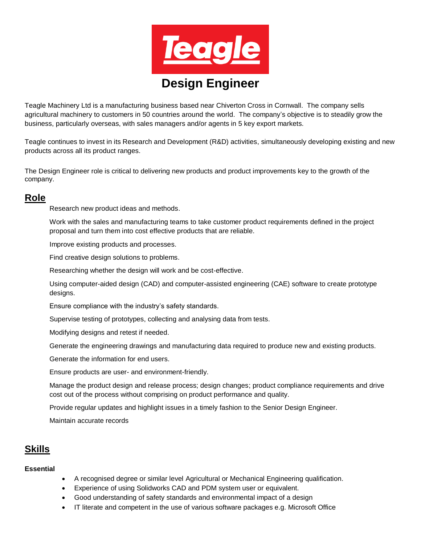

Teagle Machinery Ltd is a manufacturing business based near Chiverton Cross in Cornwall. The company sells agricultural machinery to customers in 50 countries around the world. The company's objective is to steadily grow the business, particularly overseas, with sales managers and/or agents in 5 key export markets.

Teagle continues to invest in its Research and Development (R&D) activities, simultaneously developing existing and new products across all its product ranges.

The Design Engineer role is critical to delivering new products and product improvements key to the growth of the company.

# **Role**

Research new product ideas and methods.

Work with the sales and manufacturing teams to take customer product requirements defined in the project proposal and turn them into cost effective products that are reliable.

Improve existing products and processes.

Find creative design solutions to problems.

Researching whether the design will work and be cost-effective.

Using computer-aided design (CAD) and computer-assisted engineering (CAE) software to create prototype designs.

Ensure compliance with the industry's safety standards.

Supervise testing of prototypes, collecting and analysing data from tests.

Modifying designs and retest if needed.

Generate the engineering drawings and manufacturing data required to produce new and existing products.

Generate the information for end users.

Ensure products are user- and environment-friendly.

Manage the product design and release process; design changes; product compliance requirements and drive cost out of the process without comprising on product performance and quality.

Provide regular updates and highlight issues in a timely fashion to the Senior Design Engineer.

Maintain accurate records

## **Skills**

#### **Essential**

- A recognised degree or similar level Agricultural or Mechanical Engineering qualification.
- Experience of using Solidworks CAD and PDM system user or equivalent.
- Good understanding of safety standards and environmental impact of a design
- IT literate and competent in the use of various software packages e.g. Microsoft Office